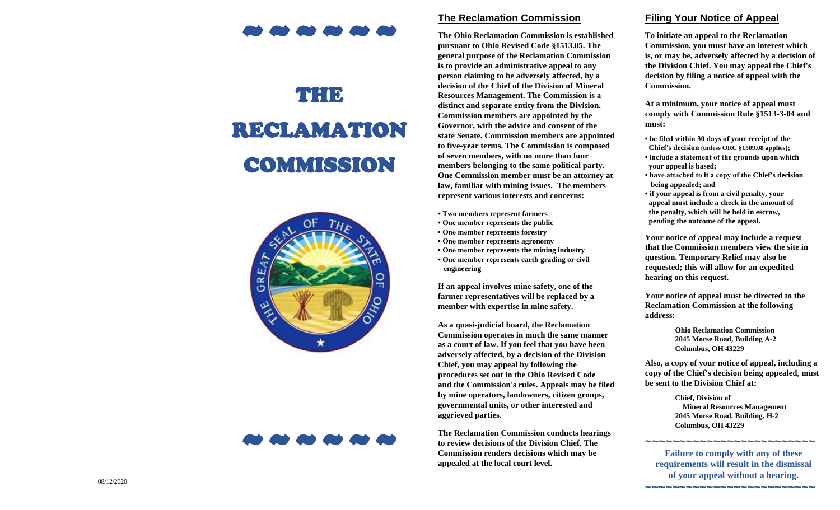# ~~~~~~

# THE RECLAMATION COMMISSION





#### **Reclamation Commission**

**The Ohio Reclamation Commission is established pursuant to Ohio Revised Code §1513.05. The general purpose of the Reclamation Commi ssion is to provide an administrative appeal to any person claiming to be adversely affected , by a decision of the Chief of the Division of Mineral Resources Management. The Commission is a distinct and separate entity from the Division . Commission members are appointed by the Governor, with the advice and consent of the state Senate. Commission members are appointed to five -year terms. The Commission is composed of seven members, with no more than four members belonging to the same political party. One Co mmission member must be an attorney at law, familiar with mining issues . The members represent various interests and concerns:**

- **Two members represent farmers**
- **One member represents the public**
- **One member represents forestry**
- **One member represents ag ronomy**
- **One member represents the mining industry**
- **One member represents earth grading or civil engineering**

**If an appeal involves mine safety , one of the farmer representatives will be replaced by a member with expertise in mine safety.** 

**As a quasi -judicial board, the Reclamation Commission operates in much the same manner as a court of law. If you feel that you have been adversely affected , by a decision of the Division Chief, you may appeal by following the procedures set out in the Ohio Revised Code and the Commission 's rules. Appeals may be filed by mine operators, landowners, citizen groups, governmental units, or other interested and aggrieved parties.**

**The Reclamation Commission conducts hearings to review decisions of the Division Chief. The Commission renders decisions which may be appealed at the local court level.**

#### **Filing Your Notice of Appeal**

**To initiate an appeal to the Reclamation Commission, you must have an interest which is, or may be, adversely affected by a decision of the Divis ion Chief. You may appeal the Chief ' s decision by filing a notice of appeal with the Commission.**

**At a minimum, your notice of appeal must comply with Commission Rule §1513 - 3 -04 and must:**

- **be filed within 30 days of your receipt of the Chief 's decisio n (unless ORC §1509.08 applies) ;**
- **include a statement of the grounds upon which your appeal is based;**
- **have attached to it a copy of the Chief's decision being appealed; and**
- **if your appeal is from a civil penalty, your appeal must include a ch eck in the amount of the penalty, which will be held in escrow, pending the outcome of the appeal .**

**Your notice of appeal may include a request that the Commission members view the site in question. Temporary Relief may also be requested; this will allow for an expedited hearing on this request .**

**Your notice of appeal must be directed to the Reclamation Commission at the following address:**

> **Ohio Reclamation Commission 2045 Morse Road, Building A - 2 Columbus, OH 4322 9**

**Also , a copy of your notice of ap peal, including a copy of the Chief's decision being appealed, must be sent to the Division Chief at:**

> **Chief, Division of Mineral Resources Management 2045 Morse Road, Building. H - 2 Columbus, OH 4322 9**

**~~~~~~~~~~~~~~~~~~~~~~~~~**

**~~~~~~~~~~~~~~~~~~~~~~~~~**

**Failure to comply with any of these requirements will result in the dismissal of your appeal without a hearing.**